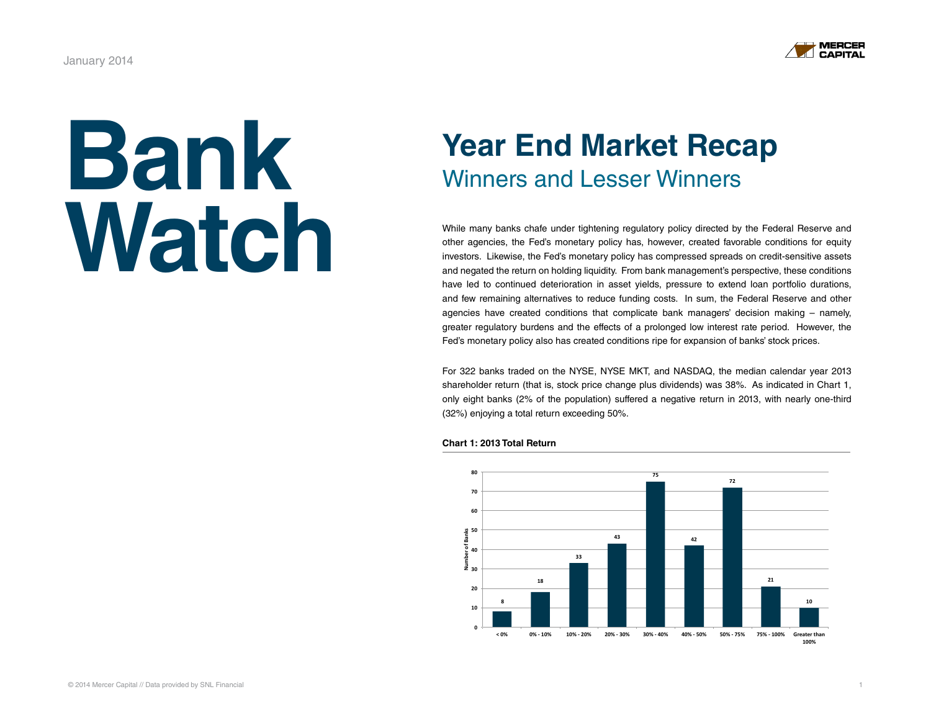# **Bank [Watch](http://mercercapital.com/insights/newsletters/bank-watch/)**

# **Year End Market Recap** Winners and Lesser Winners

While many banks chafe under tightening regulatory policy directed by the Federal Reserve and other agencies, the Fed's monetary policy has, however, created favorable conditions for equity investors. Likewise, the Fed's monetary policy has compressed spreads on credit-sensitive assets and negated the return on holding liquidity. From bank management's perspective, these conditions have led to continued deterioration in asset yields, pressure to extend loan portfolio durations, and few remaining alternatives to reduce funding costs. In sum, the Federal Reserve and other agencies have created conditions that complicate bank managers' decision making – namely, greater regulatory burdens and the effects of a prolonged low interest rate period. However, the Fed's monetary policy also has created conditions ripe for expansion of banks' stock prices.

For 322 banks traded on the NYSE, NYSE MKT, and NASDAQ, the median calendar year 2013 shareholder return (that is, stock price change plus dividends) was 38%. As indicated in Chart 1, only eight banks (2% of the population) suffered a negative return in 2013, with nearly one-third (32%) enjoying a total return exceeding 50%.



#### **Chart 1: 2013 Total Return**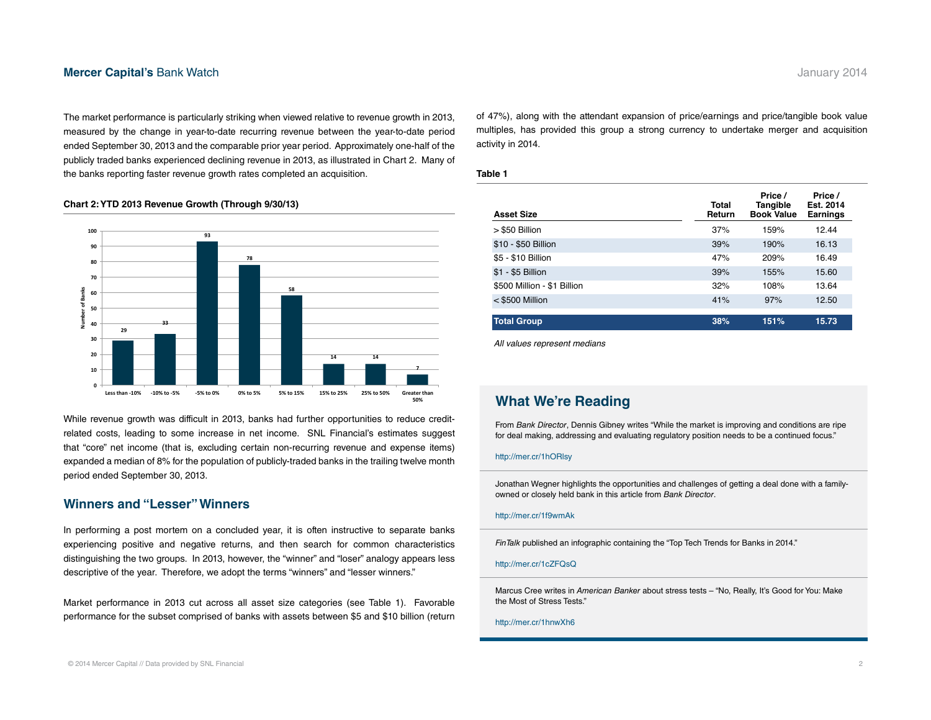#### **[Mercer Capital's](http://mercercapital.com/insights/newsletters/bank-watch/) Bank Watch <b>State Advisors** 2014 **January 2014**

The market performance is particularly striking when viewed relative to revenue growth in 2013, measured by the change in year-to-date recurring revenue between the year-to-date period ended September 30, 2013 and the comparable prior year period. Approximately one-half of the publicly traded banks experienced declining revenue in 2013, as illustrated in Chart 2. Many of the banks reporting faster revenue growth rates completed an acquisition.

#### **Chart 2: YTD 2013 Revenue Growth (Through 9/30/13)**



While revenue growth was difficult in 2013, banks had further opportunities to reduce creditrelated costs, leading to some increase in net income. SNL Financial's estimates suggest that "core" net income (that is, excluding certain non-recurring revenue and expense items) expanded a median of 8% for the population of publicly-traded banks in the trailing twelve month period ended September 30, 2013.

#### **Winners and "Lesser" Winners**

In performing a post mortem on a concluded year, it is often instructive to separate banks experiencing positive and negative returns, and then search for common characteristics distinguishing the two groups. In 2013, however, the "winner" and "loser" analogy appears less descriptive of the year. Therefore, we adopt the terms "winners" and "lesser winners."

Market performance in 2013 cut across all asset size categories (see Table 1). Favorable performance for the subset comprised of banks with assets between \$5 and \$10 billion (return of 47%), along with the attendant expansion of price/earnings and price/tangible book value multiples, has provided this group a strong currency to undertake merger and acquisition activity in 2014.

#### **Table 1**

| <b>Asset Size</b>           | Total<br>Return | Price /<br>Tangible<br><b>Book Value</b> | Price /<br>Est. 2014<br><b>Earnings</b> |
|-----------------------------|-----------------|------------------------------------------|-----------------------------------------|
| > \$50 Billion              | 37%             | 159%                                     | 12.44                                   |
| \$10 - \$50 Billion         | 39%             | 190%                                     | 16.13                                   |
| \$5 - \$10 Billion          | 47%             | 209%                                     | 16.49                                   |
| \$1 - \$5 Billion           | 39%             | 155%                                     | 15.60                                   |
| \$500 Million - \$1 Billion | 32%             | 108%                                     | 13.64                                   |
| $<$ \$500 Million           | 41%             | 97%                                      | 12.50                                   |
| <b>Total Group</b>          | 38%             | 151%                                     | 15.73                                   |

*All values represent medians*

#### **What We're Reading**

From *Bank Director*, Dennis Gibney writes "While the market is improving and conditions are ripe for deal making, addressing and evaluating regulatory position needs to be a continued focus."

#### http://mer.cr/1hORlsy

Jonathan Wegner highlights the opportunities and challenges of getting a deal done with a familyowned or closely held bank in this article from *Bank Director*.

#### http://mer.cr/1f9wmAk

*FinTalk* published an infographic containing the "Top Tech Trends for Banks in 2014."

http://mer.cr/1cZFQsQ

Marcus Cree writes in *American Banker* about stress tests – "No, Really, It's Good for You: Make the Most of Stress Tests."

#### http://mer.cr/1hnwXh6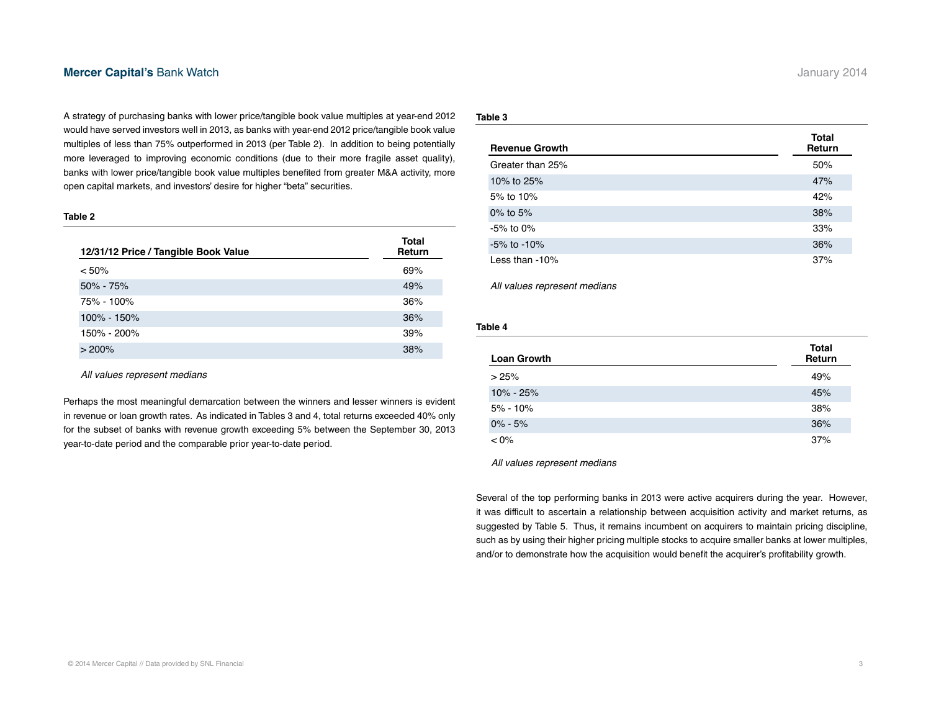#### **[Mercer Capital's](http://mercercapital.com/insights/newsletters/bank-watch/) Bank Watch <b>State Act 2014 Mercer Capital's Bank Watch** January 2014

A strategy of purchasing banks with lower price/tangible book value multiples at year-end 2012 would have served investors well in 2013, as banks with year-end 2012 price/tangible book value multiples of less than 75% outperformed in 2013 (per Table 2). In addition to being potentially more leveraged to improving economic conditions (due to their more fragile asset quality), banks with lower price/tangible book value multiples benefited from greater M&A activity, more open capital markets, and investors' desire for higher "beta" securities.

#### **Table 2**

| 12/31/12 Price / Tangible Book Value | Total<br>Return |
|--------------------------------------|-----------------|
| < 50%                                | 69%             |
| $50\% - 75\%$                        | 49%             |
| 75% - 100%                           | 36%             |
| 100% - 150%                          | 36%             |
| 150% - 200%                          | 39%             |
| >200%                                | 38%             |

*All values represent medians*

Perhaps the most meaningful demarcation between the winners and lesser winners is evident in revenue or loan growth rates. As indicated in Tables 3 and 4, total returns exceeded 40% only for the subset of banks with revenue growth exceeding 5% between the September 30, 2013 year-to-date period and the comparable prior year-to-date period.

#### **Table 3**

| <b>Revenue Growth</b> | Total<br>Return |
|-----------------------|-----------------|
| Greater than 25%      | 50%             |
| 10% to 25%            | 47%             |
| 5% to 10%             | 42%             |
| 0% to $5%$            | 38%             |
| $-5\%$ to 0%          | 33%             |
| $-5\%$ to $-10\%$     | 36%             |
| Less than $-10\%$     | 37%             |

*All values represent medians*

#### **Table 4**

| <b>Loan Growth</b> | <b>Total</b><br>Return |
|--------------------|------------------------|
| >25%               | 49%                    |
| $10\% - 25\%$      | 45%                    |
| $5\% - 10\%$       | 38%                    |
| $0\% - 5\%$        | 36%                    |
| $< 0\%$            | 37%                    |

*All values represent medians*

Several of the top performing banks in 2013 were active acquirers during the year. However, it was difficult to ascertain a relationship between acquisition activity and market returns, as suggested by Table 5. Thus, it remains incumbent on acquirers to maintain pricing discipline, such as by using their higher pricing multiple stocks to acquire smaller banks at lower multiples, and/or to demonstrate how the acquisition would benefit the acquirer's profitability growth.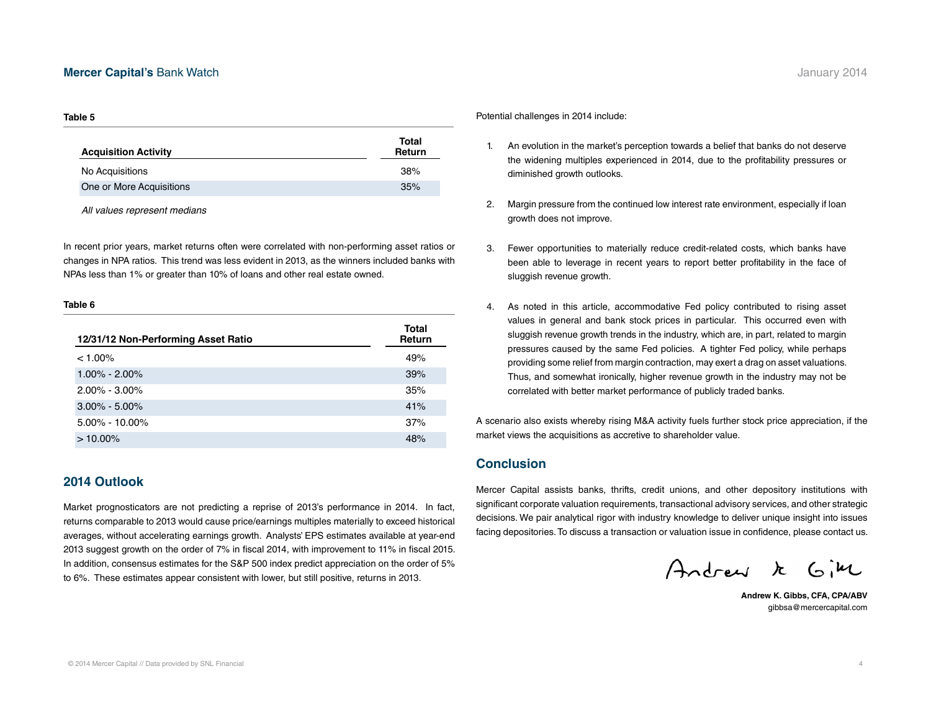#### **[Mercer Capital's](http://mercercapital.com/insights/newsletters/bank-watch/) Bank Watch <b>State Advisors** 2014 **January 2014**

#### **Table 5**

| Total<br>Return |
|-----------------|
| 38%             |
| 35%             |
|                 |

*All values represent medians*

In recent prior years, market returns often were correlated with non-performing asset ratios or changes in NPA ratios. This trend was less evident in 2013, as the winners included banks with NPAs less than 1% or greater than 10% of loans and other real estate owned.

#### **Table 6**

| 12/31/12 Non-Performing Asset Ratio | Total<br>Return |
|-------------------------------------|-----------------|
| $< 1.00\%$                          | 49%             |
| $1.00\% - 2.00\%$                   | 39%             |
| $2.00\% - 3.00\%$                   | 35%             |
| $3.00\% - 5.00\%$                   | 41%             |
| $5.00\% - 10.00\%$                  | 37%             |
| $>10.00\%$                          | 48%             |

#### **2014 Outlook**

Market prognosticators are not predicting a reprise of 2013's performance in 2014. In fact, returns comparable to 2013 would cause price/earnings multiples materially to exceed historical averages, without accelerating earnings growth. Analysts' EPS estimates available at year-end 2013 suggest growth on the order of 7% in fiscal 2014, with improvement to 11% in fiscal 2015. In addition, consensus estimates for the S&P 500 index predict appreciation on the order of 5% to 6%. These estimates appear consistent with lower, but still positive, returns in 2013.

Potential challenges in 2014 include:

- 1. An evolution in the market's perception towards a belief that banks do not deserve the widening multiples experienced in 2014, due to the profitability pressures or diminished growth outlooks.
- 2. Margin pressure from the continued low interest rate environment, especially if loan growth does not improve.
- 3. Fewer opportunities to materially reduce credit-related costs, which banks have been able to leverage in recent years to report better profitability in the face of sluggish revenue growth.
- 4. As noted in this article, accommodative Fed policy contributed to rising asset values in general and bank stock prices in particular. This occurred even with sluggish revenue growth trends in the industry, which are, in part, related to margin pressures caused by the same Fed policies. A tighter Fed policy, while perhaps providing some relief from margin contraction, may exert a drag on asset valuations. Thus, and somewhat ironically, higher revenue growth in the industry may not be correlated with better market performance of publicly traded banks.

A scenario also exists whereby rising M&A activity fuels further stock price appreciation, if the market views the acquisitions as accretive to shareholder value.

#### **Conclusion**

Mercer Capital assists banks, thrifts, credit unions, and other depository institutions with significant corporate valuation requirements, transactional advisory services, and other strategic decisions. We pair analytical rigor with industry knowledge to deliver unique insight into issues facing depositories. To discuss a transaction or valuation issue in confidence, please contact us.

Andrew k Gim

**Andrew K. Gibbs, CFA, CPA/ABV** gibbsa@mercercapital.com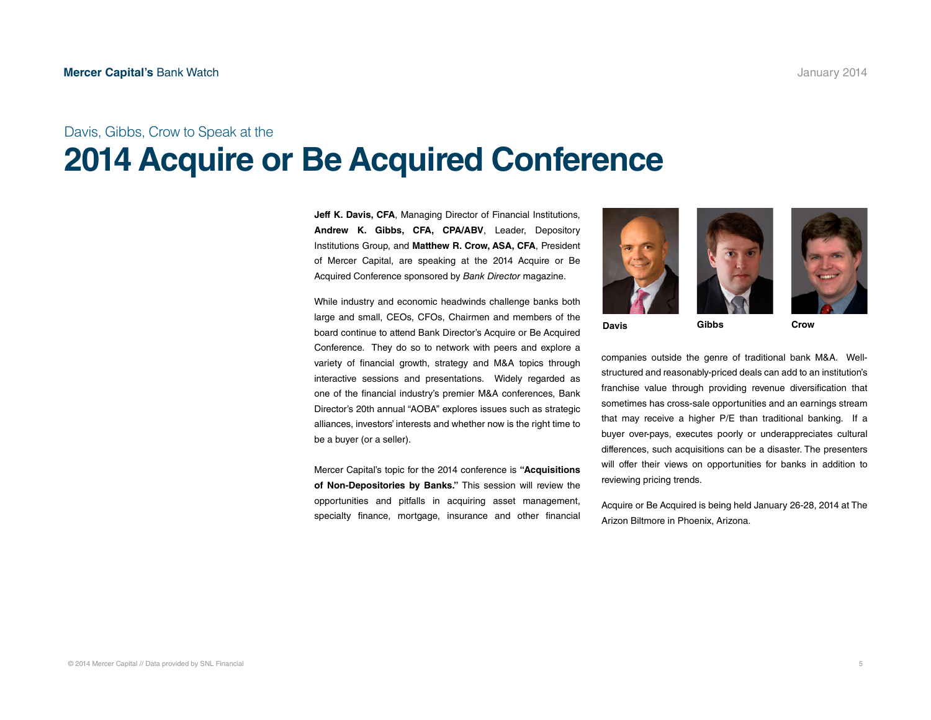### Davis, Gibbs, Crow to Speak at the **[2014 Acquire or Be Acquired Conference](http://www.bankdirector.com/index.php/conferences/acquire-or-be-acquired/)**

**Jeff K. Davis, CFA**, Managing Director of Financial Institutions, **Andrew K. Gibbs, CFA, CPA/ABV**, Leader, Depository Institutions Group, and **Matthew R. Crow, ASA, CFA**, President of Mercer Capital, are speaking at the 2014 Acquire or Be Acquired Conference sponsored by *Bank Director* magazine.

While industry and economic headwinds challenge banks both large and small, CEOs, CFOs, Chairmen and members of the board continue to attend Bank Director's Acquire or Be Acquired Conference. They do so to network with peers and explore a variety of financial growth, strategy and M&A topics through interactive sessions and presentations. Widely regarded as one of the financial industry's premier M&A conferences, Bank Director's 20th annual "AOBA" explores issues such as strategic alliances, investors' interests and whether now is the right time to be a buyer (or a seller).

Mercer Capital's topic for the 2014 conference is **"Acquisitions of Non-Depositories by Banks."** This session will review the opportunities and pitfalls in acquiring asset management, specialty finance, mortgage, insurance and other financial





**Davis Gibbs Crow**

companies outside the genre of traditional bank M&A. Wellstructured and reasonably-priced deals can add to an institution's franchise value through providing revenue diversification that sometimes has cross-sale opportunities and an earnings stream that may receive a higher P/E than traditional banking. If a buyer over-pays, executes poorly or underappreciates cultural differences, such acquisitions can be a disaster. The presenters will offer their views on opportunities for banks in addition to reviewing pricing trends.

Acquire or Be Acquired is being held January 26-28, 2014 at The Arizon Biltmore in Phoenix, Arizona.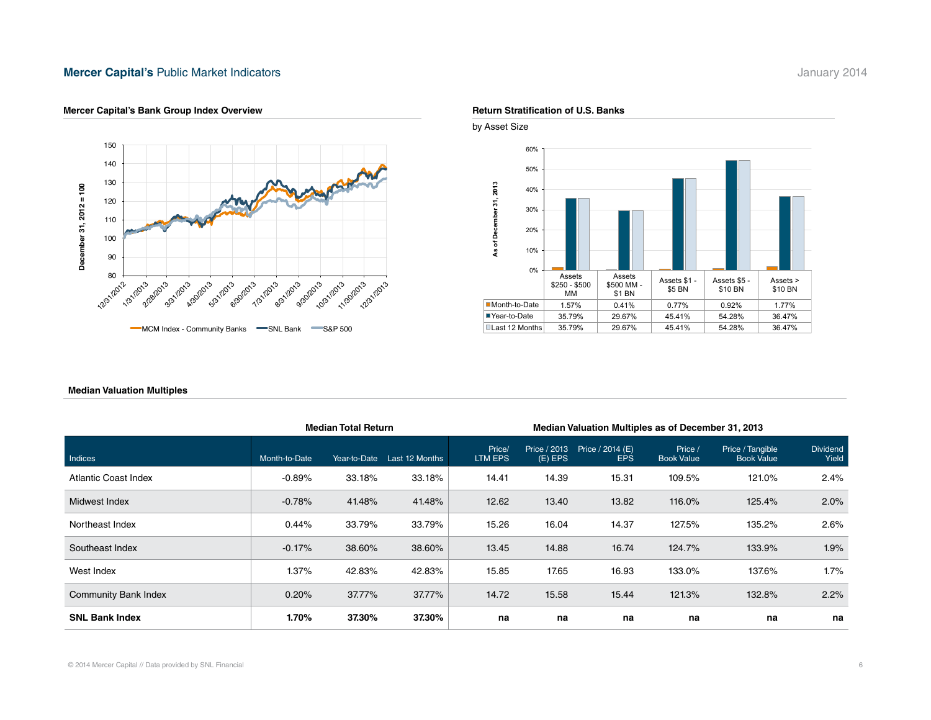#### **Mercer Capital's [Public Market Indicators](http://mercercapital.com/insights/newsletters/bank-watch/) Mathematic Accord 2014** January 2014



#### **Mercer Capital's Bank Group Index Overview Return Stratification of U.S. Banks Return Stratification of U.S. Banks**





#### **Median Valuation Multiples**

|                             | <b>Median Total Return</b> |              |                | Median Valuation Multiples as of December 31, 2013 |                           |                                |                              |                                       |                          |
|-----------------------------|----------------------------|--------------|----------------|----------------------------------------------------|---------------------------|--------------------------------|------------------------------|---------------------------------------|--------------------------|
| Indices                     | Month-to-Date              | Year-to-Date | Last 12 Months | Price/<br>LTM EPS                                  | Price / 2013<br>$(E)$ EPS | Price / 2014 (E)<br><b>EPS</b> | Price /<br><b>Book Value</b> | Price / Tangible<br><b>Book Value</b> | <b>Dividend</b><br>Yield |
| Atlantic Coast Index        | $-0.89%$                   | 33.18%       | 33.18%         | 14.41                                              | 14.39                     | 15.31                          | 109.5%                       | 121.0%                                | 2.4%                     |
| Midwest Index               | $-0.78%$                   | 41.48%       | 41.48%         | 12.62                                              | 13.40                     | 13.82                          | 116.0%                       | 125.4%                                | 2.0%                     |
| Northeast Index             | 0.44%                      | 33.79%       | 33.79%         | 15.26                                              | 16.04                     | 14.37                          | 127.5%                       | 135.2%                                | 2.6%                     |
| Southeast Index             | $-0.17%$                   | 38.60%       | 38.60%         | 13.45                                              | 14.88                     | 16.74                          | 124.7%                       | 133.9%                                | 1.9%                     |
| West Index                  | 1.37%                      | 42.83%       | 42.83%         | 15.85                                              | 17.65                     | 16.93                          | 133.0%                       | 137.6%                                | 1.7%                     |
| <b>Community Bank Index</b> | 0.20%                      | 37.77%       | 37.77%         | 14.72                                              | 15.58                     | 15.44                          | 121.3%                       | 132.8%                                | 2.2%                     |
| <b>SNL Bank Index</b>       | 1.70%                      | 37.30%       | 37.30%         | na                                                 | na                        | na                             | na                           | na                                    | na                       |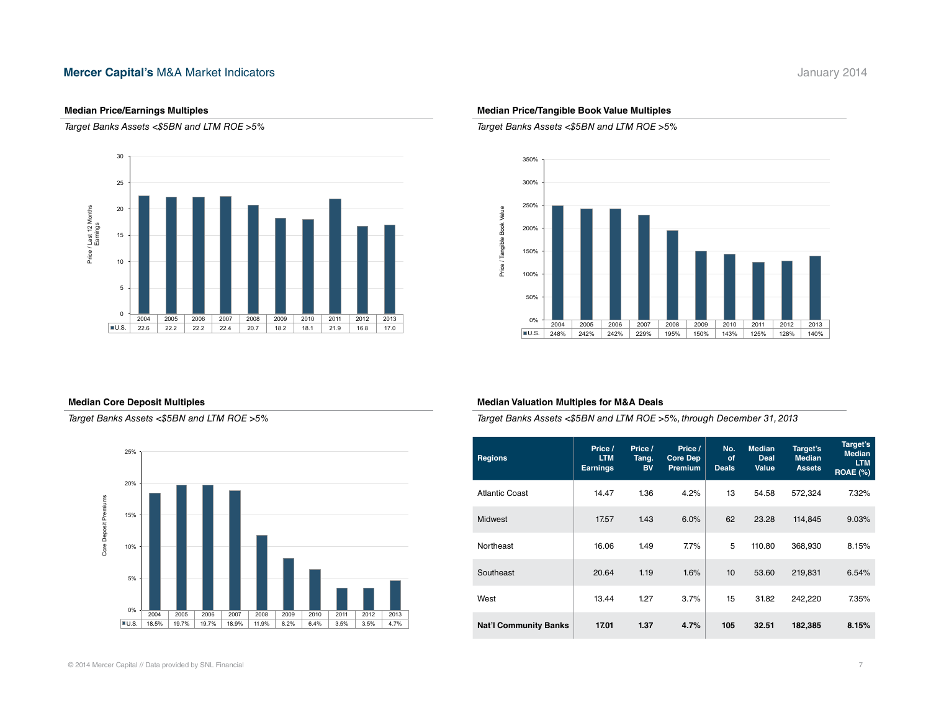#### **Mercer Capital's [M&A Market Indicators](http://mercercapital.com/insights/newsletters/bank-watch/) Mathematic Control of the Capital's M&A Market Indicators January 2014**

#### **Median Price/Earnings Multiples**

*Target Banks Assets <\$5BN and LTM ROE >5%*



#### **Median Core Deposit Multiples**

*Target Banks Assets <\$5BN and LTM ROE >5%*



#### **Median Price/Tangible Book Value Multiples**

*Target Banks Assets <\$5BN and LTM ROE >5%*



#### **Median Valuation Multiples for M&A Deals**

*Target Banks Assets <\$5BN and LTM ROE >5%, through December 31, 2013*

| <b>Regions</b>               | Price /<br><b>LTM</b><br><b>Earnings</b> | Price /<br>Tang.<br><b>BV</b> | Price /<br><b>Core Dep</b><br>Premium | No.<br>of<br><b>Deals</b> | <b>Median</b><br>Deal<br><b>Value</b> | Target's<br><b>Median</b><br><b>Assets</b> | Target's<br><b>Median</b><br><b>LTM</b><br><b>ROAE (%)</b> |
|------------------------------|------------------------------------------|-------------------------------|---------------------------------------|---------------------------|---------------------------------------|--------------------------------------------|------------------------------------------------------------|
| Atlantic Coast               | 14.47                                    | 1.36                          | 4.2%                                  | 13                        | 54.58                                 | 572,324                                    | 7.32%                                                      |
| <b>Midwest</b>               | 17.57                                    | 1.43                          | 6.0%                                  | 62                        | 23.28                                 | 114,845                                    | 9.03%                                                      |
| Northeast                    | 16.06                                    | 1.49                          | $7.7\%$                               | 5                         | 110.80                                | 368,930                                    | 8.15%                                                      |
| Southeast                    | 20.64                                    | 1.19                          | 1.6%                                  | 10                        | 53.60                                 | 219,831                                    | 6.54%                                                      |
| West                         | 13.44                                    | 1.27                          | 3.7%                                  | 15                        | 31.82                                 | 242,220                                    | 7.35%                                                      |
| <b>Nat'l Community Banks</b> | 17.01                                    | 1.37                          | 4.7%                                  | 105                       | 32.51                                 | 182,385                                    | 8.15%                                                      |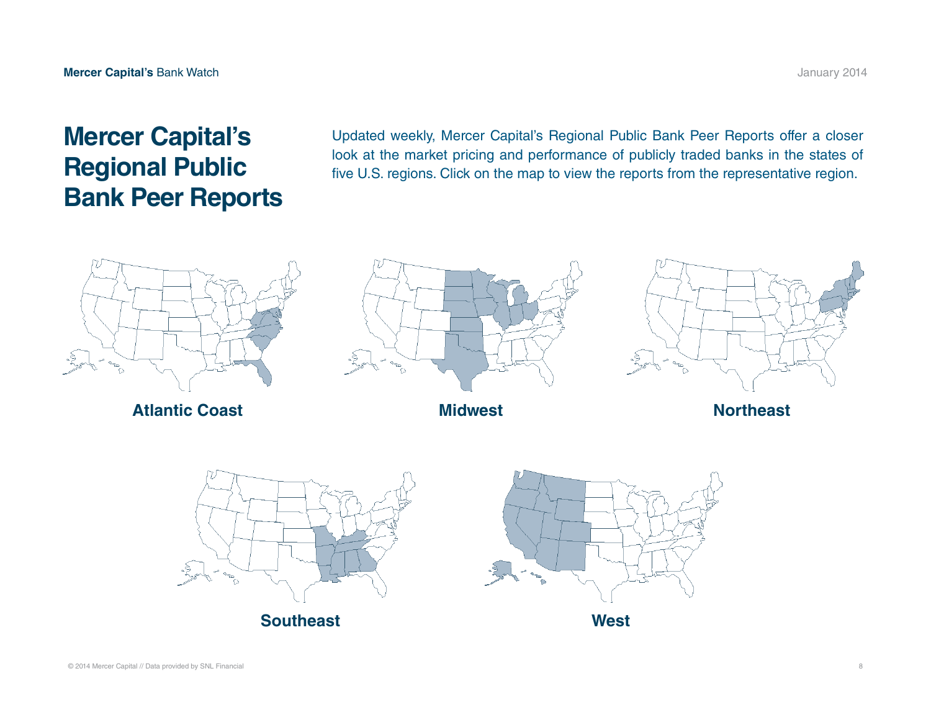## **Mercer Capital's Regional Public Bank Peer Reports**

Updated weekly, Mercer Capital's Regional Public Bank Peer Reports offer a closer look at the market pricing and performance of publicly traded banks in the states of five U.S. regions. Click on the map to view the reports from the representative region.



**[Atlantic Coast](http://mercercapital.com/insights/rbprs/rbpr-ac/) [Midwest](http://mercercapital.com/insights/rbprs/rbpr-mw/)**



**[Northeast](http://mercercapital.com/insights/rbprs/rbpr-ne/)**





**[West](http://mercercapital.com/insights/rbprs/rbpr-w/)**